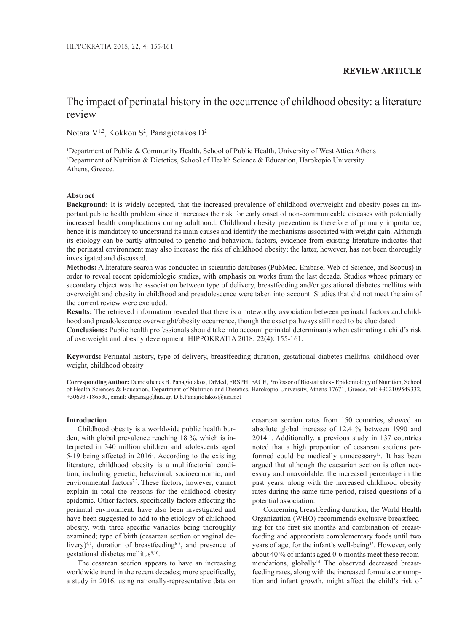## **REVIEW ARTICLE**

# The impact of perinatal history in the occurrence of childhood obesity: a literature review

Notara V<sup>1,2</sup>, Kokkou S<sup>2</sup>, Panagiotakos D<sup>2</sup>

1 Department of Public & Community Health, School of Public Health, University of West Attica Athens 2 Department of Nutrition & Dietetics, School of Health Science & Education, Harokopio University Athens, Greece.

## **Abstract**

**Background:** It is widely accepted, that the increased prevalence of childhood overweight and obesity poses an important public health problem since it increases the risk for early onset of non-communicable diseases with potentially increased health complications during adulthood. Childhood obesity prevention is therefore of primary importance; hence it is mandatory to understand its main causes and identify the mechanisms associated with weight gain. Although its etiology can be partly attributed to genetic and behavioral factors, evidence from existing literature indicates that the perinatal environment may also increase the risk of childhood obesity; the latter, however, has not been thoroughly investigated and discussed.

**Methods:** A literature search was conducted in scientific databases (PubMed, Embase, Web of Science, and Scopus) in order to reveal recent epidemiologic studies, with emphasis on works from the last decade. Studies whose primary or secondary object was the association between type of delivery, breastfeeding and/or gestational diabetes mellitus with overweight and obesity in childhood and preadolescence were taken into account. Studies that did not meet the aim of the current review were excluded.

**Results:** The retrieved information revealed that there is a noteworthy association between perinatal factors and childhood and preadolescence overweight/obesity occurrence, though the exact pathways still need to be elucidated.

**Conclusions:** Public health professionals should take into account perinatal determinants when estimating a child's risk of overweight and obesity development. HIPPOKRATIA 2018, 22(4): 155-161.

**Keywords:** Perinatal history, type of delivery, breastfeeding duration, gestational diabetes mellitus, childhood overweight, childhood obesity

**Corresponding Author:** Demosthenes B. Panagiotakos, DrMed, FRSPH, FACE, Professor of Biostatistics - Epidemiology of Nutrition, School of Health Sciences & Education, Department of Nutrition and Dietetics, Harokopio University, Athens 17671, Greece, tel: +302109549332, +306937186530, email: dbpanag@hua.gr, D.b.Panagiotakos@usa.net

### **Introduction**

Childhood obesity is a worldwide public health burden, with global prevalence reaching 18 %, which is interpreted in 340 million children and adolescents aged 5-19 being affected in 20161 . According to the existing literature, childhood obesity is a multifactorial condition, including genetic, behavioral, socioeconomic, and environmental factors<sup>2,3</sup>. These factors, however, cannot explain in total the reasons for the childhood obesity epidemic. Other factors, specifically factors affecting the perinatal environment, have also been investigated and have been suggested to add to the etiology of childhood obesity, with three specific variables being thoroughly examined; type of birth (cesarean section or vaginal delivery)<sup>4,5</sup>, duration of breastfeeding<sup>6-8</sup>, and presence of gestational diabetes mellitus9,10.

The cesarean section appears to have an increasing worldwide trend in the recent decades; more specifically, a study in 2016, using nationally-representative data on

cesarean section rates from 150 countries, showed an absolute global increase of 12.4 % between 1990 and 201411. Additionally, a previous study in 137 countries noted that a high proportion of cesarean sections performed could be medically unnecessary<sup>12</sup>. It has been argued that although the caesarian section is often necessary and unavoidable, the increased percentage in the past years, along with the increased childhood obesity rates during the same time period, raised questions of a potential association.

Concerning breastfeeding duration, the World Health Organization (WHO) recommends exclusive breastfeeding for the first six months and combination of breastfeeding and appropriate complementary foods until two years of age, for the infant's well-being<sup>13</sup>. However, only about 40 % of infants aged 0-6 months meet these recommendations, globally<sup>14</sup>. The observed decreased breastfeeding rates, along with the increased formula consumption and infant growth, might affect the child's risk of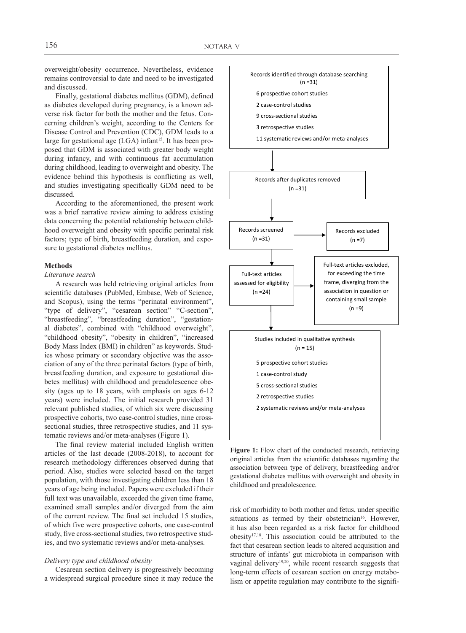overweight/obesity occurrence. Nevertheless, evidence remains controversial to date and need to be investigated and discussed.

Finally, gestational diabetes mellitus (GDM), defined as diabetes developed during pregnancy, is a known adverse risk factor for both the mother and the fetus. Concerning children's weight, according to the Centers for Disease Control and Prevention (CDC), GDM leads to a large for gestational age  $(LGA)$  infant<sup>15</sup>. It has been proposed that GDM is associated with greater body weight during infancy, and with continuous fat accumulation during childhood, leading to overweight and obesity. The evidence behind this hypothesis is conflicting as well, and studies investigating specifically GDM need to be discussed.

According to the aforementioned, the present work was a brief narrative review aiming to address existing data concerning the potential relationship between childhood overweight and obesity with specific perinatal risk factors; type of birth, breastfeeding duration, and exposure to gestational diabetes mellitus.

## **Methods**

## *Literature search*

A research was held retrieving original articles from scientific databases (PubMed, Embase, Web of Science, and Scopus), using the terms "perinatal environment", "type of delivery", "cesarean section" "C-section", "breastfeeding", "breastfeeding duration", "gestational diabetes", combined with "childhood overweight", "childhood obesity", "obesity in children", "increased Body Mass Index (BMI) in children" as keywords. Studies whose primary or secondary objective was the association of any of the three perinatal factors (type of birth, breastfeeding duration, and exposure to gestational diabetes mellitus) with childhood and preadolescence obesity (ages up to 18 years, with emphasis on ages 6-12 years) were included. The initial research provided 31 relevant published studies, of which six were discussing prospective cohorts, two case-control studies, nine crosssectional studies, three retrospective studies, and 11 systematic reviews and/or meta-analyses (Figure 1).

The final review material included English written articles of the last decade (2008-2018), to account for research methodology differences observed during that period. Also, studies were selected based on the target population, with those investigating children less than 18 years of age being included. Papers were excluded if their full text was unavailable, exceeded the given time frame, examined small samples and/or diverged from the aim of the current review. The final set included 15 studies, of which five were prospective cohorts, one case-control study, five cross-sectional studies, two retrospective studies, and two systematic reviews and/or meta-analyses.

## *Delivery type and childhood obesity*

Cesarean section delivery is progressively becoming a widespread surgical procedure since it may reduce the



**Figure 1:** Flow chart of the conducted research, retrieving original articles from the scientific databases regarding the association between type of delivery, breastfeeding and/or gestational diabetes mellitus with overweight and obesity in childhood and preadolescence.

risk of morbidity to both mother and fetus, under specific situations as termed by their obstetrician<sup>16</sup>. However, it has also been regarded as a risk factor for childhood obesity17,18. This association could be attributed to the fact that cesarean section leads to altered acquisition and structure of infants' gut microbiota in comparison with vaginal delivery19,20, while recent research suggests that long-term effects of cesarean section on energy metabolism or appetite regulation may contribute to the signifi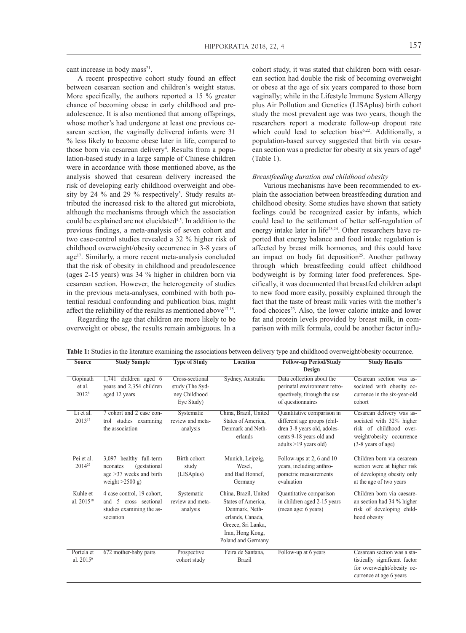cant increase in body mass<sup>21</sup>.

A recent prospective cohort study found an effect between cesarean section and children's weight status. More specifically, the authors reported a 15 % greater chance of becoming obese in early childhood and preadolescence. It is also mentioned that among offsprings, whose mother's had undergone at least one previous cesarean section, the vaginally delivered infants were 31 % less likely to become obese later in life, compared to those born via cesarean delivery<sup>4</sup>. Results from a population-based study in a large sample of Chinese children were in accordance with those mentioned above, as the analysis showed that cesarean delivery increased the risk of developing early childhood overweight and obesity by 24 % and 29 % respectively<sup>5</sup>. Study results attributed the increased risk to the altered gut microbiota, although the mechanisms through which the association could be explained are not elucidated<sup>4,5</sup>. In addition to the previous findings, a meta-analysis of seven cohort and two case-control studies revealed a 32 % higher risk of childhood overweight/obesity occurrence in 3-8 years of age<sup>17</sup>. Similarly, a more recent meta-analysis concluded that the risk of obesity in childhood and preadolescence (ages 2-15 years) was 34 % higher in children born via cesarean section. However, the heterogeneity of studies in the previous meta-analyses, combined with both potential residual confounding and publication bias, might affect the reliability of the results as mentioned above $17,18$ .

Regarding the age that children are more likely to be overweight or obese, the results remain ambiguous. In a cohort study, it was stated that children born with cesarean section had double the risk of becoming overweight or obese at the age of six years compared to those born vaginally; while in the Lifestyle Immune System Allergy plus Air Pollution and Genetics (LISAplus) birth cohort study the most prevalent age was two years, though the researchers report a moderate follow-up dropout rate which could lead to selection bias<sup>6,22</sup>. Additionally, a population-based survey suggested that birth via cesarean section was a predictor for obesity at six years of age<sup>8</sup> (Table 1).

#### *Breastfeeding duration and childhood obesity*

Various mechanisms have been recommended to explain the association between breastfeeding duration and childhood obesity. Some studies have shown that satiety feelings could be recognized easier by infants, which could lead to the settlement of better self-regulation of energy intake later in life<sup>23,24</sup>. Other researchers have reported that energy balance and food intake regulation is affected by breast milk hormones, and this could have an impact on body fat deposition<sup>25</sup>. Another pathway through which breastfeeding could affect childhood bodyweight is by forming later food preferences. Specifically, it was documented that breastfed children adapt to new food more easily, possibly explained through the fact that the taste of breast milk varies with the mother's food choices<sup>23</sup>. Also, the lower caloric intake and lower fat and protein levels provided by breast milk, in comparison with milk formula, could be another factor influ-

| <b>Source</b>                           | <b>Study Sample</b>                                                                                   | <b>Type of Study</b>                                              | Location                                                                                                                                          | <b>Follow-up Period/Study</b><br>Design                                                                                                         | <b>Study Results</b>                                                                                                                  |
|-----------------------------------------|-------------------------------------------------------------------------------------------------------|-------------------------------------------------------------------|---------------------------------------------------------------------------------------------------------------------------------------------------|-------------------------------------------------------------------------------------------------------------------------------------------------|---------------------------------------------------------------------------------------------------------------------------------------|
| Gopinath<br>et al.<br>2012 <sup>8</sup> | 1,741 children aged 6<br>years and 2,354 children<br>aged 12 years                                    | Cross-sectional<br>study (The Syd-<br>ney Childhood<br>Eye Study) | Sydney, Australia                                                                                                                                 | Data collection about the<br>perinatal environment retro-<br>spectively, through the use<br>of questionnaires                                   | Cesarean section was as-<br>sociated with obesity oc-<br>currence in the six-year-old<br>cohort                                       |
| Li et al.<br>201317                     | 7 cohort and 2 case con-<br>trol studies examining<br>the association                                 | Systematic<br>review and meta-<br>analysis                        | China, Brazil, United<br>States of America.<br>Denmark and Neth-<br>erlands                                                                       | Quantitative comparison in<br>different age groups (chil-<br>dren 3-8 years old, adoles-<br>cents 9-18 years old and<br>adults $>19$ years old) | Cesarean delivery was as-<br>sociated with 32% higher<br>risk of childhood over-<br>weight/obesity occurrence<br>$(3-8$ years of age) |
| Pei et al.<br>2014 <sup>22</sup>        | 3,097 healthy full-term<br>(gestational<br>neonates<br>age $>37$ weeks and birth<br>weight $>2500$ g) | Birth cohort<br>study<br>(LISAplus)                               | Munich, Leipzig,<br>Wesel.<br>and Bad Honnef,<br>Germany                                                                                          | Follow-ups at 2, 6 and 10<br>years, including anthro-<br>pometric measurements<br>evaluation                                                    | Children born via cesarean<br>section were at higher risk<br>of developing obesity only<br>at the age of two years                    |
| Kuhle et<br>al. 2015 <sup>18</sup>      | 4 case control, 19 cohort,<br>and 5<br>cross sectional<br>studies examining the as-<br>sociation      | Systematic<br>review and meta-<br>analysis                        | China, Brazil, United<br>States of America.<br>Denmark, Neth-<br>erlands, Canada,<br>Greece, Sri Lanka,<br>Iran, Hong Kong,<br>Poland and Germany | Quantitative comparison<br>in children aged 2-15 years<br>(mean age: 6 years)                                                                   | Children born via caesare-<br>an section had 34 % higher<br>risk of developing child-<br>hood obesity                                 |
| Portela et<br>al. 2015 <sup>6</sup>     | 672 mother-baby pairs                                                                                 | Prospective<br>cohort study                                       | Feira de Santana,<br><b>Brazil</b>                                                                                                                | Follow-up at 6 years                                                                                                                            | Cesarean section was a sta-<br>tistically significant factor<br>for overweight/obesity oc-<br>currence at age 6 years                 |

**Table 1:** Studies in the literature examining the associations between delivery type and childhood overweight/obesity occurrence.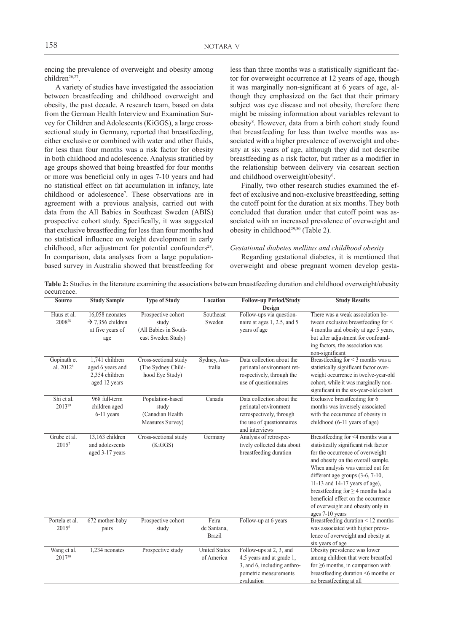encing the prevalence of overweight and obesity among children26,27.

A variety of studies have investigated the association between breastfeeding and childhood overweight and obesity, the past decade. A research team, based on data from the German Health Interview and Examination Survey for Children and Adolescents (KiGGS), a large crosssectional study in Germany, reported that breastfeeding, either exclusive or combined with water and other fluids, for less than four months was a risk factor for obesity in both childhood and adolescence. Analysis stratified by age groups showed that being breastfed for four months or more was beneficial only in ages 7-10 years and had no statistical effect on fat accumulation in infancy, late childhood or adolescence7 . These observations are in agreement with a previous analysis, carried out with data from the All Babies in Southeast Sweden (ABIS) prospective cohort study. Specifically, it was suggested that exclusive breastfeeding for less than four months had no statistical influence on weight development in early childhood, after adjustment for potential confounders<sup>28</sup>. In comparison, data analyses from a large populationbased survey in Australia showed that breastfeeding for

less than three months was a statistically significant factor for overweight occurrence at 12 years of age, though it was marginally non-significant at 6 years of age, although they emphasized on the fact that their primary subject was eye disease and not obesity, therefore there might be missing information about variables relevant to obesity<sup>8</sup>. However, data from a birth cohort study found that breastfeeding for less than twelve months was associated with a higher prevalence of overweight and obesity at six years of age, although they did not describe breastfeeding as a risk factor, but rather as a modifier in the relationship between delivery via cesarean section and childhood overweight/obesity<sup>6</sup>.

Finally, two other research studies examined the effect of exclusive and non-exclusive breastfeeding, setting the cutoff point for the duration at six months. They both concluded that duration under that cutoff point was associated with an increased prevalence of overweight and obesity in childhood<sup>29,30</sup> (Table 2).

## *Gestational diabetes mellitus and childhood obesity*

Regarding gestational diabetes, it is mentioned that overweight and obese pregnant women develop gesta-

| Table 2: Studies in the literature examining the associations between breastfeeding duration and childhood overweight/obesity |  |  |  |  |
|-------------------------------------------------------------------------------------------------------------------------------|--|--|--|--|
| occurrence.                                                                                                                   |  |  |  |  |

| <b>Source</b>                        | <b>Study Sample</b>                                                        | <b>Type of Study</b>                                                       | Location                              | <b>Follow-up Period/Study</b>                                                                                                 | <b>Study Results</b>                                                                                                                                                                                                                                                                                                                                                                                        |
|--------------------------------------|----------------------------------------------------------------------------|----------------------------------------------------------------------------|---------------------------------------|-------------------------------------------------------------------------------------------------------------------------------|-------------------------------------------------------------------------------------------------------------------------------------------------------------------------------------------------------------------------------------------------------------------------------------------------------------------------------------------------------------------------------------------------------------|
|                                      |                                                                            |                                                                            |                                       | Design                                                                                                                        |                                                                                                                                                                                                                                                                                                                                                                                                             |
| Huus et al.<br>2008 <sup>28</sup>    | 16,058 neonates<br>$\rightarrow$ 7.356 children<br>at five years of<br>age | Prospective cohort<br>study<br>(All Babies in South-<br>east Sweden Study) | Southeast<br>Sweden                   | Follow-ups via question-<br>naire at ages 1, 2.5, and 5<br>years of age                                                       | There was a weak association be-<br>tween exclusive breastfeeding for <<br>4 months and obesity at age 5 years,<br>but after adjustment for confound-<br>ing factors, the association was<br>non-significant                                                                                                                                                                                                |
| Gopinath et<br>al. 2012 <sup>8</sup> | 1.741 children<br>aged 6 years and<br>2.354 children<br>aged 12 years      | Cross-sectional study<br>(The Sydney Child-<br>hood Eye Study)             | Sydney, Aus-<br>tralia                | Data collection about the<br>perinatal environment ret-<br>rospectively, through the<br>use of questionnaires                 | Breastfeeding for < 3 months was a<br>statistically significant factor over-<br>weight occurrence in twelve-year-old<br>cohort, while it was marginally non-<br>significant in the six-year-old cohort                                                                                                                                                                                                      |
| Shi et al.<br>2013 <sup>29</sup>     | 968 full-term<br>children aged<br>6-11 years                               | Population-based<br>study<br>(Canadian Health<br>Measures Survey)          | Canada                                | Data collection about the<br>perinatal environment<br>retrospectively, through<br>the use of questionnaires<br>and interviews | Exclusive breastfeeding for 6<br>months was inversely associated<br>with the occurrence of obesity in<br>childhood (6-11 years of age)                                                                                                                                                                                                                                                                      |
| Grube et al.<br>$2015^7$             | 13.163 children<br>and adolescents<br>aged 3-17 years                      | Cross-sectional study<br>(KiGGS)                                           | Germany                               | Analysis of retrospec-<br>tively collected data about<br>breastfeeding duration                                               | Breastfeeding for <4 months was a<br>statistically significant risk factor<br>for the occurrence of overweight<br>and obesity on the overall sample.<br>When analysis was carried out for<br>different age groups $(3-6, 7-10,$<br>11-13 and 14-17 years of age),<br>breastfeeding for $\geq$ 4 months had a<br>beneficial effect on the occurrence<br>of overweight and obesity only in<br>ages 7-10 years |
| Portela et al.<br>2015 <sup>6</sup>  | 672 mother-baby<br>pairs                                                   | Prospective cohort<br>study                                                | Feira<br>de Santana,<br><b>Brazil</b> | Follow-up at 6 years                                                                                                          | Breastfeeding duration < 12 months<br>was associated with higher preva-<br>lence of overweight and obesity at<br>six vears of age                                                                                                                                                                                                                                                                           |
| Wang et al.<br>201730                | 1,234 neonates                                                             | Prospective study                                                          | <b>United States</b><br>of America    | Follow-ups at 2, 3, and<br>4.5 years and at grade 1,<br>3, and 6, including anthro-<br>pometric measurements<br>evaluation    | Obesity prevalence was lower<br>among children that were breastfed<br>for $\geq 6$ months, in comparison with<br>breastfeeding duration <6 months or<br>no breastfeeding at all                                                                                                                                                                                                                             |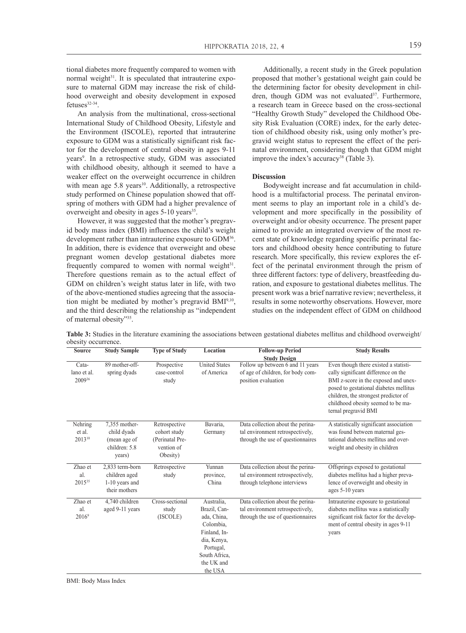An analysis from the multinational, cross-sectional International Study of Childhood Obesity, Lifestyle and the Environment (ISCOLE), reported that intrauterine exposure to GDM was a statistically significant risk factor for the development of central obesity in ages 9-11 years<sup>9</sup>. In a retrospective study, GDM was associated with childhood obesity, although it seemed to have a weaker effect on the overweight occurrence in children with mean age 5.8 years<sup>10</sup>. Additionally, a retrospective study performed on Chinese population showed that offspring of mothers with GDM had a higher prevalence of overweight and obesity in ages 5-10 years<sup>35</sup>.

However, it was suggested that the mother's pregravid body mass index (BMI) influences the child's weight development rather than intrauterine exposure to GDM<sup>36</sup>. In addition, there is evidence that overweight and obese pregnant women develop gestational diabetes more frequently compared to women with normal weight<sup>31</sup>. Therefore questions remain as to the actual effect of GDM on children's weight status later in life, with two of the above-mentioned studies agreeing that the association might be mediated by mother's pregravid BMI9,10, and the third describing the relationship as "independent of maternal obesity"35.

Additionally, a recent study in the Greek population proposed that mother's gestational weight gain could be the determining factor for obesity development in children, though GDM was not evaluated<sup>37</sup>. Furthermore, a research team in Greece based on the cross-sectional "Healthy Growth Study" developed the Childhood Obesity Risk Evaluation (CORE) index, for the early detection of childhood obesity risk, using only mother's pregravid weight status to represent the effect of the perinatal environment, considering though that GDM might improve the index's accuracy<sup>38</sup> (Table 3).

#### **Discussion**

Bodyweight increase and fat accumulation in childhood is a multifactorial process. The perinatal environment seems to play an important role in a child's development and more specifically in the possibility of overweight and/or obesity occurrence. The present paper aimed to provide an integrated overview of the most recent state of knowledge regarding specific perinatal factors and childhood obesity hence contributing to future research. More specifically, this review explores the effect of the perinatal environment through the prism of three different factors: type of delivery, breastfeeding duration, and exposure to gestational diabetes mellitus. The present work was a brief narrative review; nevertheless, it results in some noteworthy observations. However, more studies on the independent effect of GDM on childhood

**Table 3:** Studies in the literature examining the associations between gestational diabetes mellitus and childhood overweight/ obesity occurrence.

| Source                         | <b>Study Sample</b>                                                     | <b>Type of Study</b>                                                       | Location                                                                                                                                     | <b>Follow-up Period</b>                                                                                             | <b>Study Results</b>                                                                                                                                                                                                                                                 |
|--------------------------------|-------------------------------------------------------------------------|----------------------------------------------------------------------------|----------------------------------------------------------------------------------------------------------------------------------------------|---------------------------------------------------------------------------------------------------------------------|----------------------------------------------------------------------------------------------------------------------------------------------------------------------------------------------------------------------------------------------------------------------|
| Cata-<br>lano et al.<br>200936 | 89 mother-off-<br>spring dyads                                          | Prospective<br>case-control<br>study                                       | <b>United States</b><br>of America                                                                                                           | <b>Study Design</b><br>Follow up between 6 and 11 years<br>of age of children, for body com-<br>position evaluation | Even though there existed a statisti-<br>cally significant difference on the<br>BMI z-score in the exposed and unex-<br>posed to gestational diabetes mellitus<br>children, the strongest predictor of<br>childhood obesity seemed to be ma-<br>ternal pregravid BMI |
| Nehring<br>et al.<br>201310    | 7,355 mother-<br>child dyads<br>(mean age of<br>children: 5.8<br>years) | Retrospective<br>cohort study<br>(Perinatal Pre-<br>vention of<br>Obesity) | Bavaria,<br>Germany                                                                                                                          | Data collection about the perina-<br>tal environment retrospectively,<br>through the use of questionnaires          | A statistically significant association<br>was found between maternal ges-<br>tational diabetes mellitus and over-<br>weight and obesity in children                                                                                                                 |
| Zhao et<br>al.<br>201535       | 2,833 term-born<br>children aged<br>1-10 years and<br>their mothers     | Retrospective<br>study                                                     | Yunnan<br>province,<br>China                                                                                                                 | Data collection about the perina-<br>tal environment retrospectively,<br>through telephone interviews               | Offsprings exposed to gestational<br>diabetes mellitus had a higher preva-<br>lence of overweight and obesity in<br>ages 5-10 years                                                                                                                                  |
| Zhao et<br>al.<br>$2016^9$     | 4,740 children<br>aged 9-11 years                                       | Cross-sectional<br>study<br>(ISCOLE)                                       | Australia.<br>Brazil, Can-<br>ada, China,<br>Colombia.<br>Finland, In-<br>dia, Kenya,<br>Portugal,<br>South Africa,<br>the UK and<br>the USA | Data collection about the perina-<br>tal environment retrospectively,<br>through the use of questionnaires          | Intrauterine exposure to gestational<br>diabetes mellitus was a statistically<br>significant risk factor for the develop-<br>ment of central obesity in ages 9-11<br>years                                                                                           |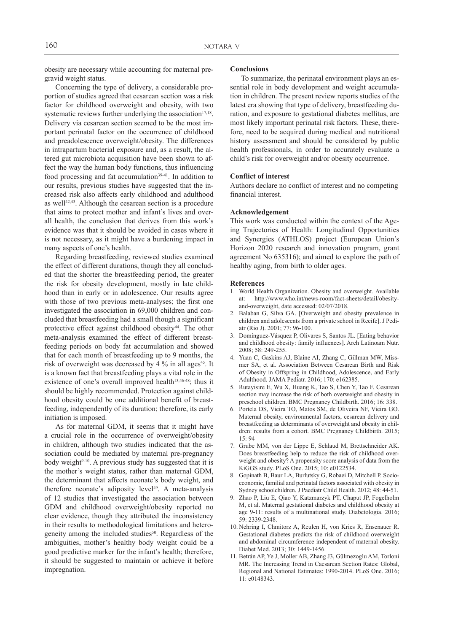obesity are necessary while accounting for maternal pregravid weight status.

Concerning the type of delivery, a considerable proportion of studies agreed that cesarean section was a risk factor for childhood overweight and obesity, with two systematic reviews further underlying the association<sup>17,18</sup>. Delivery via cesarean section seemed to be the most important perinatal factor on the occurrence of childhood and preadolescence overweight/obesity. The differences in intrapartum bacterial exposure and, as a result, the altered gut microbiota acquisition have been shown to affect the way the human body functions, thus influencing food processing and fat accumulation $39-41$ . In addition to our results, previous studies have suggested that the increased risk also affects early childhood and adulthood as well<sup>42,43</sup>. Although the cesarean section is a procedure that aims to protect mother and infant's lives and overall health, the conclusion that derives from this work's evidence was that it should be avoided in cases where it is not necessary, as it might have a burdening impact in many aspects of one's health.

Regarding breastfeeding, reviewed studies examined the effect of different durations, though they all concluded that the shorter the breastfeeding period, the greater the risk for obesity development, mostly in late childhood than in early or in adolescence. Our results agree with those of two previous meta-analyses; the first one investigated the association in 69,000 children and concluded that breastfeeding had a small though a significant protective effect against childhood obesity<sup>44</sup>. The other meta-analysis examined the effect of different breastfeeding periods on body fat accumulation and showed that for each month of breastfeeding up to 9 months, the risk of overweight was decreased by 4 % in all ages<sup>45</sup>. It is a known fact that breastfeeding plays a vital role in the existence of one's overall improved health<sup>13,46-48</sup>; thus it should be highly recommended. Protection against childhood obesity could be one additional benefit of breastfeeding, independently of its duration; therefore, its early initiation is imposed.

As for maternal GDM, it seems that it might have a crucial role in the occurrence of overweight/obesity in children, although two studies indicated that the association could be mediated by maternal pre-pregnancy body weight<sup>9-10</sup>. A previous study has suggested that it is the mother's weight status, rather than maternal GDM, the determinant that affects neonate's body weight, and therefore neonate's adiposity level<sup>49</sup>. A meta-analysis of 12 studies that investigated the association between GDM and childhood overweight/obesity reported no clear evidence, though they attributed the inconsistency in their results to methodological limitations and heterogeneity among the included studies<sup>50</sup>. Regardless of the ambiguities, mother's healthy body weight could be a good predictive marker for the infant's health; therefore, it should be suggested to maintain or achieve it before impregnation.

#### **Conclusions**

To summarize, the perinatal environment plays an essential role in body development and weight accumulation in children. The present review reports studies of the latest era showing that type of delivery, breastfeeding duration, and exposure to gestational diabetes mellitus, are most likely important perinatal risk factors. These, therefore, need to be acquired during medical and nutritional history assessment and should be considered by public health professionals, in order to accurately evaluate a child's risk for overweight and/or obesity occurrence.

#### **Conflict of interest**

Authors declare no conflict of interest and no competing financial interest.

## **Acknowledgement**

This work was conducted within the context of the Ageing Trajectories of Health: Longitudinal Opportunities and Synergies (ATHLOS) project (European Union's Horizon 2020 research and innovation program, grant agreement No 635316); and aimed to explore the path of healthy aging, from birth to older ages.

#### **References**

- 1. World Health Organization. Obesity and overweight. Available at: http://www.who.int/news-room/fact-sheets/detail/obesityand-overweight, date accessed: 02/07/2018.
- 2. Balaban G, Silva GA. [Overweight and obesity prevalence in children and adolescents from a private school in Recife]. J Pediatr (Rio J). 2001; 77: 96-100.
- 3. Domínguez-Vásquez P, Olivares S, Santos JL. [Eating behavior and childhood obesity: family influences]. Arch Latinoam Nutr. 2008; 58: 249-255.
- 4. Yuan C, Gaskins AJ, Blaine AI, Zhang C, Gillman MW, Missmer SA, et al. Association Between Cesarean Birth and Risk of Obesity in Offspring in Childhood, Adolescence, and Early Adulthood. JAMA Pediatr. 2016; 170: e162385.
- 5. Rutayisire E, Wu X, Huang K, Tao S, Chen Y, Tao F. Cesarean section may increase the risk of both overweight and obesity in preschool children. BMC Pregnancy Childbirth. 2016; 16: 338.
- 6. Portela DS, Vieira TO, Matos SM, de Oliveira NF, Vieira GO. Maternal obesity, environmental factors, cesarean delivery and breastfeeding as determinants of overweight and obesity in children: results from a cohort. BMC Pregnancy Childbirth. 2015; 15: 94
- 7. Grube MM, von der Lippe E, Schlaud M, Brettschneider AK. Does breastfeeding help to reduce the risk of childhood overweight and obesity? A propensity score analysis of data from the KiGGS study. PLoS One. 2015; 10: e0122534.
- 8. Gopinath B, Baur LA, Burlutsky G, Robaei D, Mitchell P. Socioeconomic, familial and perinatal factors associated with obesity in Sydney schoolchildren. J Paediatr Child Health. 2012; 48: 44-51.
- 9. Zhao P, Liu E, Qiao Y, Katzmarzyk PT, Chaput JP, Fogelholm M, et al. Maternal gestational diabetes and childhood obesity at age 9-11: results of a multinational study. Diabetologia. 2016; 59: 2339-2348.
- 10. Nehring I, Chmitorz A, Reulen H, von Kries R, Ensenauer R. Gestational diabetes predicts the risk of childhood overweight and abdominal circumference independent of maternal obesity. Diabet Med. 2013; 30: 1449-1456.
- 11. Betrán AP, Ye J, Moller AB, Zhang J3, Gülmezoglu AM, Torloni MR. The Increasing Trend in Caesarean Section Rates: Global, Regional and National Estimates: 1990-2014. PLoS One. 2016; 11: e0148343.